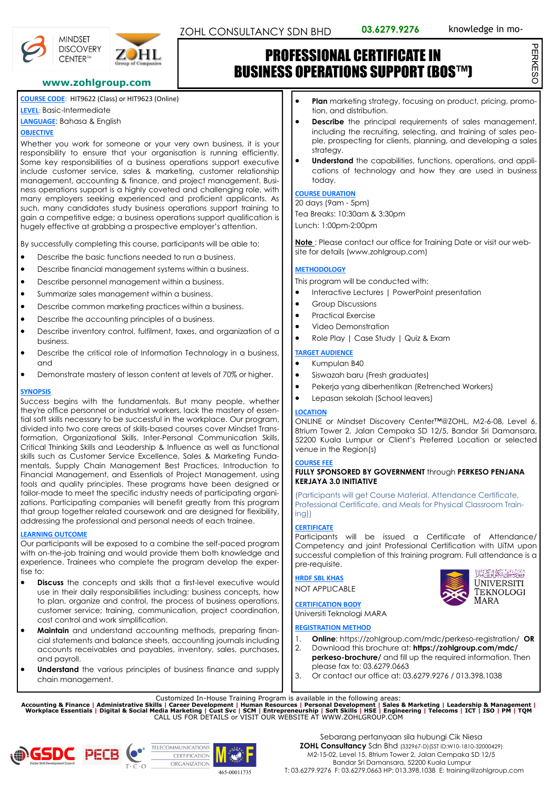PERKESO

PERKESC



**MINDSET** 

**DISCOVERY** 



# PROFESSIONAL CERTIFICATE IN BUSINESS OPERATIONS SUPPORT (BOS™)

## **www.zohlgroup.com**

**COURSE CODE**: HIT9622 (Class) or HIT9623 (Online)

**LEVEL**: Basic-Intermediate

## **LANGUAGE**: Bahasa & English

## **OBJECTIVE**

Whether you work for someone or your very own business, it is your responsibility to ensure that your organisation is running efficiently. Some key responsibilities of a business operations support executive include customer service, sales & marketing, customer relationship management, accounting & finance, and project management. Business operations support is a highly coveted and challenging role, with many employers seeking experienced and proficient applicants. As such, many candidates study business operations support training to gain a competitive edge; a business operations support qualification is hugely effective at grabbing a prospective employer's attention.

By successfully completing this course, participants will be able to:

- Describe the basic functions needed to run a business.
- Describe financial management systems within a business.
- Describe personnel management within a business.
- Summarize sales management within a business.
- Describe common marketing practices within a business.
- Describe the accounting principles of a business.
- Describe inventory control, fulfilment, taxes, and organization of a business.
- Describe the critical role of Information Technology in a business, and
- Demonstrate mastery of lesson content at levels of 70% or higher.

## **SYNOPSIS**

Success begins with the fundamentals. But many people, whether they're office personnel or industrial workers, lack the mastery of essential soft skills necessary to be successful in the workplace. Our program, divided into two core areas of skills-based courses cover Mindset Transformation, Organizational Skills, Inter-Personal Communication Skills, Critical Thinking Skills and Leadership & Influence as well as functional skills such as Customer Service Excellence, Sales & Marketing Fundamentals, Supply Chain Management Best Practices, Introduction to Financial Management, and Essentials of Project Management, using tools and quality principles. These programs have been designed or tailor-made to meet the specific industry needs of participating organizations. Participating companies will benefit greatly from this program that group together related coursework and are designed for flexibility, addressing the professional and personal needs of each trainee.

## **LEARNING OUTCOME**

Our participants will be exposed to a combine the self-paced program with on-the-job training and would provide them both knowledge and experience. Trainees who complete the program develop the expertise to:

- **Discuss** the concepts and skills that a first-level executive would use in their daily responsibilities including: business concepts, how to plan, organize and control, the process of business operations, customer service; training, communication, project coordination, cost control and work simplification.
- **Maintain** and understand accounting methods, preparing financial statements and balance sheets, accounting journals including accounts receivables and payables, inventory, sales, purchases, and payroll.
- **Understand** the various principles of business finance and supply chain management.
- **Plan** marketing strategy, focusing on product, pricing, promotion, and distribution.
- **Describe** the principal requirements of sales management, including the recruiting, selecting, and training of sales people, prospecting for clients, planning, and developing a sales strategy.
- **Understand** the capabilities, functions, operations, and applications of technology and how they are used in business today.

## **COURSE DURATION**

20 days (9am - 5pm) Tea Breaks: 10:30am & 3:30pm Lunch: 1:00pm-2:00pm

**Note** : Please contact our office for Training Date or visit our website for details (www.zohlgroup.com)

## **METHODOLOGY**

This program will be conducted with:

- Interactive Lectures | PowerPoint presentation
- Group Discussions
- Practical Exercise
- Video Demonstration
- Role Play | Case Study | Quiz & Exam

## **TARGET AUDIENCE**

- Kumpulan B40
- Siswazah baru (Fresh graduates)
- Pekeria yang diberhentikan (Retrenched Workers)
- Lepasan sekolah (School leavers)

## **LOCATION**

ONLINE or Mindset Discovery Center™@ZOHL, M2-6-08, Level 6, 8trium Tower 2, Jalan Cempaka SD 12/5, Bandar Sri Damansara, 52200 Kuala Lumpur or Client's Preferred Location or selected venue in the Region(s)

## **COURSE FEE**

## **FULLY SPONSORED BY GOVERNMENT** through **PERKESO PENJANA KERJAYA 3.0 INITIATIVE**

(Participants will get Course Material, Attendance Certificate, Professional Certificate, and Meals for Physical Classroom Training))

## **CERTIFICATE**

Participants will be issued a Certificate of Attendance/ Competency and joint Professional Certification with UiTM upon successful completion of this training program. Full attendance is a pre-requisite.

**HRDF SBL KHAS**

NOT APPLICABLE



**CERTIFICATION BODY** Universiti Teknologi MARA

## **REGISTRATION METHOD**

- 1. **Online**: https://zohlgroup.com/mdc/perkeso-registration/ **OR**
- 2. Download this brochure at: **https://zohlgroup.com/mdc/ perkeso-brochure/** and fill up the required information. Then please fax to: 03.6279.0663
- 3. Or contact our office at: 03.6279.9276 / 013.398.1038

Customized In-House Training Program is available in the following areas:<br>Accounting & Finance | Administrative Skills | Career Development | Human Resources | Personal Development | Sales & Marketing | Leadership & Manag



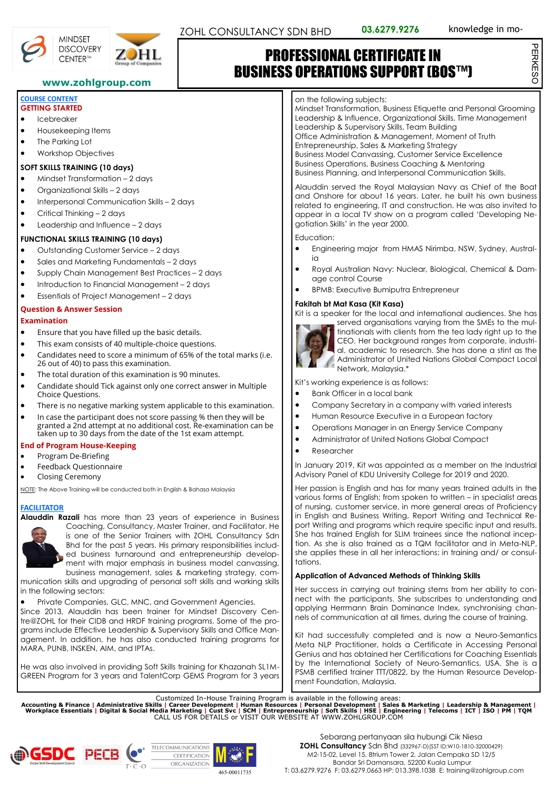PERKESO

PERKESC





# PROFESSIONAL CERTIFICATE IN BUSINESS OPERATIONS SUPPORT (BOS™)

## **www.zohlgroup.com**

#### **COURSE CONTENT GETTING STARTED**

- Icebreaker
- Housekeeping Items
- The Parking Lot
- Workshop Objectives

## **SOFT SKILLS TRAINING (10 days)**

- Mindset Transformation 2 days
- Organizational Skills 2 days
- Interpersonal Communication Skills 2 days
- Critical Thinking 2 days
- Leadership and Influence 2 days

## **FUNCTIONAL SKILLS TRAINING (10 days)**

- Outstanding Customer Service 2 days
- Sales and Marketing Fundamentals 2 days
- Supply Chain Management Best Practices 2 days
- Introduction to Financial Management 2 days
- Essentials of Project Management 2 days

## **Question & Answer Session**

## **Examination**

- Ensure that you have filled up the basic details.
- This exam consists of 40 multiple-choice questions.
- Candidates need to score a minimum of 65% of the total marks (i.e. 26 out of 40) to pass this examination.
- The total duration of this examination is 90 minutes.
- Candidate should Tick against only one correct answer in Multiple Choice Questions.
- There is no negative marking system applicable to this examination.
- In case the participant does not score passing % then they will be granted a 2nd attempt at no additional cost. Re-examination can be taken up to 30 days from the date of the 1st exam attempt.

## **End of Program House-Keeping**

- Program De-Briefing
- Feedback Questionnaire
- Closing Ceremony

NOTE: The Above Training will be conducted both in English & Bahasa Malaysia

## **FACILITATOR**



**Alauddin Razali** has more than 23 years of experience in Business Coaching, Consultancy, Master Trainer, and Facilitator. He is one of the Senior Trainers with ZOHL Consultancy Sdn Bhd for the past 5 years. His primary responsibilities included business turnaround and entrepreneurship development with major emphasis in business model canvassing, business management, sales & marketing strategy, com-

munication skills and upgrading of personal soft skills and working skills in the following sectors:

Private Companies, GLC, MNC, and Government Agencies.

Since 2013, Alauddin has been trainer for Mindset Discovery Centre@ZOHL for their CIDB and HRDF training programs. Some of the programs include Effective Leadership & Supervisory Skills and Office Management. In addition, he has also conducted training programs for MARA, PUNB, INSKEN, AIM, and IPTAs.

He was also involved in providing Soft Skills training for Khazanah SL1M-GREEN Program for 3 years and TalentCorp GEMS Program for 3 years

#### on the following subjects:

Mindset Transformation, Business Etiquette and Personal Grooming Leadership & Influence, Organizational Skills, Time Management Leadership & Supervisory Skills, Team Building Office Administration & Management, Moment of Truth Entrepreneurship, Sales & Marketing Strategy Business Model Canvassing, Customer Service Excellence Business Operations, Business Coaching & Mentoring Business Planning, and Interpersonal Communication Skills.

Alauddin served the Royal Malaysian Navy as Chief of the Boat and Onshore for about 16 years. Later, he built his own business related to engineering, IT and construction. He was also invited to appear in a local TV show on a program called 'Developing Negotiation Skills' in the year 2000.

Education:

- Engineering major from HMAS Nirimba, NSW, Sydney, Austral $i\alpha$
- Royal Australian Navy: Nuclear, Biological, Chemical & Damage control Course
- BPMB: Executive Bumiputra Entrepreneur

## **Fakitah bt Mat Kasa (Kit Kasa)**

Kit is a speaker for the local and international audiences. She has



served organisations varying from the SMEs to the multinationals with clients from the tea lady right up to the CEO. Her background ranges from corporate, industrial, academic to research. She has done a stint as the Administrator of United Nations Global Compact Local Administrator C. C.<br>Network, Malaysia.<sup>\*</sup>

Kit's working experience is as follows:

- Bank Officer in a local bank
- Company Secretary in a company with varied interests
- Human Resource Executive in a European factory
- Operations Manager in an Energy Service Company
- Administrator of United Nations Global Compact
- **Researcher**

In January 2019, Kit was appointed as a member on the Industrial Advisory Panel of KDU University College for 2019 and 2020.

Her passion is English and has for many years trained adults in the various forms of English; from spoken to written – in specialist areas of nursing, customer service, in more general areas of Proficiency in English and Business Writing, Report Writing and Technical Report Writing and programs which require specific input and results. She has trained English for SLIM trainees since the national inception. As she is also trained as a TQM facilitator and in Meta-NLP, she applies these in all her interactions; in training and/ or consultations.

## **Application of Advanced Methods of Thinking Skills**

Her success in carrying out training stems from her ability to connect with the participants. She subscribes to understanding and applying Herrmann Brain Dominance Index, synchronising channels of communication at all times, during the course of training.

Kit had successfully completed and is now a Neuro-Semantics Meta NLP Practitioner, holds a Certificate in Accessing Personal Genius and has obtained her Certifications for Coaching Essentials by the International Society of Neuro-Semantics, USA. She is a PSMB certified trainer TTT/0822, by the Human Resource Development Foundation, Malaysia.

Customized In-House Training Program is available in the following areas:<br>Accounting & Finance | Administrative Skills | Career Development | Human Resources | Personal Development | Sales & Marketing | Leadership & Manag